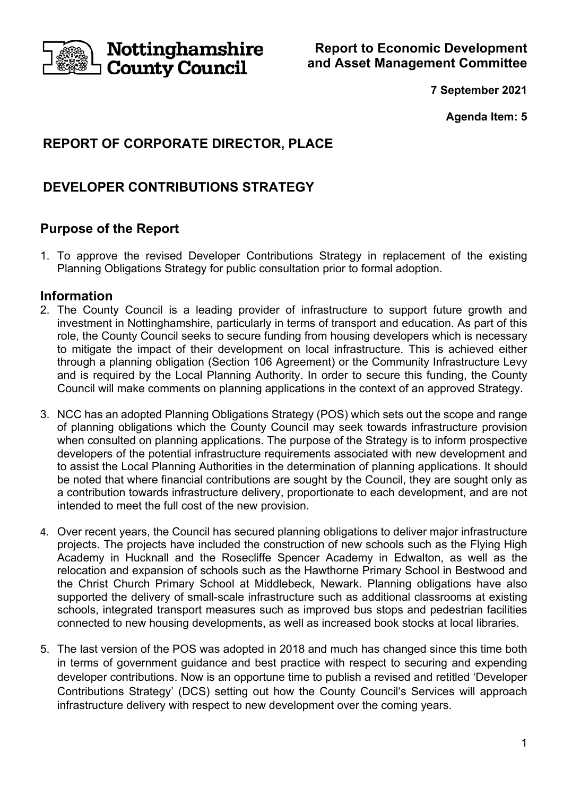

**Report to Economic Development and Asset Management Committee** 

**7 September 2021** 

**Agenda Item: 5** 

# **REPORT OF CORPORATE DIRECTOR, PLACE**

# **DEVELOPER CONTRIBUTIONS STRATEGY**

## **Purpose of the Report**

1. To approve the revised Developer Contributions Strategy in replacement of the existing Planning Obligations Strategy for public consultation prior to formal adoption.

### **Information**

- 2. The County Council is a leading provider of infrastructure to support future growth and investment in Nottinghamshire, particularly in terms of transport and education. As part of this role, the County Council seeks to secure funding from housing developers which is necessary to mitigate the impact of their development on local infrastructure. This is achieved either through a planning obligation (Section 106 Agreement) or the Community Infrastructure Levy and is required by the Local Planning Authority. In order to secure this funding, the County Council will make comments on planning applications in the context of an approved Strategy.
- 3. NCC has an adopted Planning Obligations Strategy (POS) which sets out the scope and range of planning obligations which the County Council may seek towards infrastructure provision when consulted on planning applications. The purpose of the Strategy is to inform prospective developers of the potential infrastructure requirements associated with new development and to assist the Local Planning Authorities in the determination of planning applications. It should be noted that where financial contributions are sought by the Council, they are sought only as a contribution towards infrastructure delivery, proportionate to each development, and are not intended to meet the full cost of the new provision.
- 4. Over recent years, the Council has secured planning obligations to deliver major infrastructure projects. The projects have included the construction of new schools such as the Flying High Academy in Hucknall and the Rosecliffe Spencer Academy in Edwalton, as well as the relocation and expansion of schools such as the Hawthorne Primary School in Bestwood and the Christ Church Primary School at Middlebeck, Newark. Planning obligations have also supported the delivery of small-scale infrastructure such as additional classrooms at existing schools, integrated transport measures such as improved bus stops and pedestrian facilities connected to new housing developments, as well as increased book stocks at local libraries.
- 5. The last version of the POS was adopted in 2018 and much has changed since this time both in terms of government guidance and best practice with respect to securing and expending developer contributions. Now is an opportune time to publish a revised and retitled 'Developer Contributions Strategy' (DCS) setting out how the County Council's Services will approach infrastructure delivery with respect to new development over the coming years.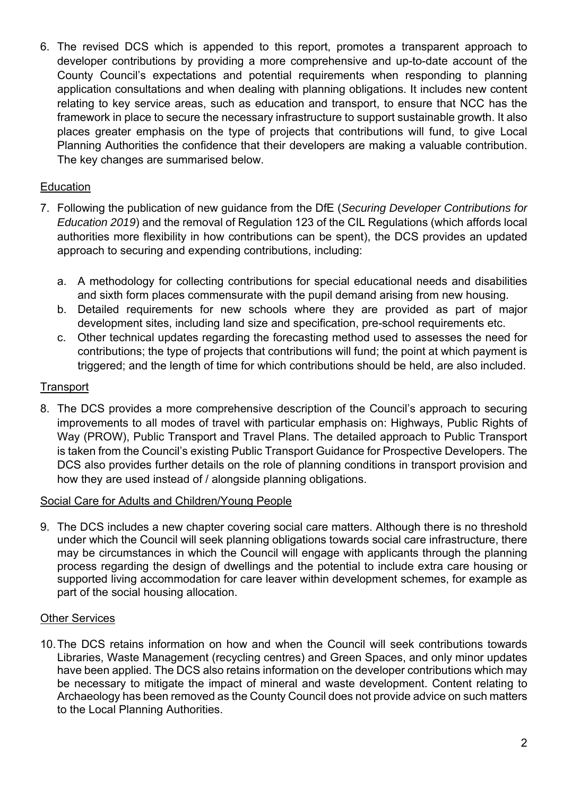6. The revised DCS which is appended to this report, promotes a transparent approach to developer contributions by providing a more comprehensive and up-to-date account of the County Council's expectations and potential requirements when responding to planning application consultations and when dealing with planning obligations. It includes new content relating to key service areas, such as education and transport, to ensure that NCC has the framework in place to secure the necessary infrastructure to support sustainable growth. It also places greater emphasis on the type of projects that contributions will fund, to give Local Planning Authorities the confidence that their developers are making a valuable contribution. The key changes are summarised below.

### **Education**

- 7. Following the publication of new guidance from the DfE (*Securing Developer Contributions for Education 2019*) and the removal of Regulation 123 of the CIL Regulations (which affords local authorities more flexibility in how contributions can be spent), the DCS provides an updated approach to securing and expending contributions, including:
	- a. A methodology for collecting contributions for special educational needs and disabilities and sixth form places commensurate with the pupil demand arising from new housing.
	- b. Detailed requirements for new schools where they are provided as part of major development sites, including land size and specification, pre-school requirements etc.
	- c. Other technical updates regarding the forecasting method used to assesses the need for contributions; the type of projects that contributions will fund; the point at which payment is triggered; and the length of time for which contributions should be held, are also included.

#### **Transport**

8. The DCS provides a more comprehensive description of the Council's approach to securing improvements to all modes of travel with particular emphasis on: Highways, Public Rights of Way (PROW), Public Transport and Travel Plans. The detailed approach to Public Transport is taken from the Council's existing Public Transport Guidance for Prospective Developers. The DCS also provides further details on the role of planning conditions in transport provision and how they are used instead of / alongside planning obligations.

#### Social Care for Adults and Children/Young People

9. The DCS includes a new chapter covering social care matters. Although there is no threshold under which the Council will seek planning obligations towards social care infrastructure, there may be circumstances in which the Council will engage with applicants through the planning process regarding the design of dwellings and the potential to include extra care housing or supported living accommodation for care leaver within development schemes, for example as part of the social housing allocation.

#### Other Services

10. The DCS retains information on how and when the Council will seek contributions towards Libraries, Waste Management (recycling centres) and Green Spaces, and only minor updates have been applied. The DCS also retains information on the developer contributions which may be necessary to mitigate the impact of mineral and waste development. Content relating to Archaeology has been removed as the County Council does not provide advice on such matters to the Local Planning Authorities.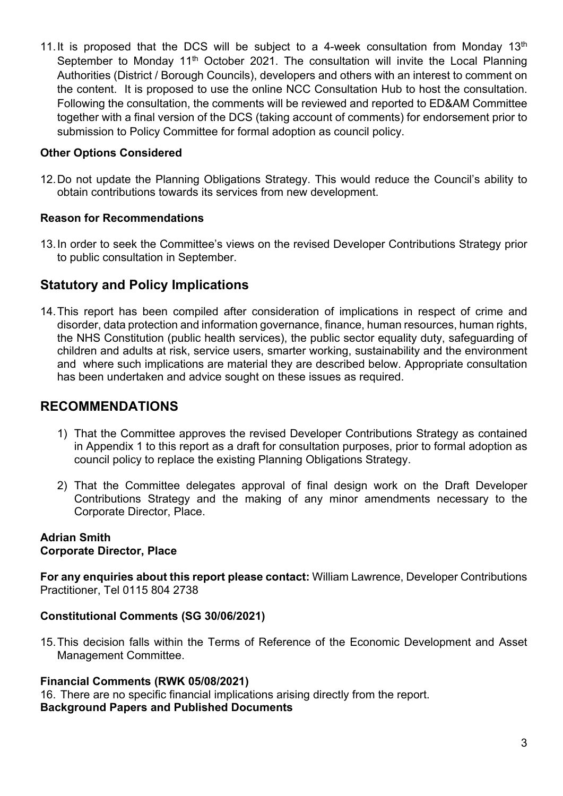11. It is proposed that the DCS will be subject to a 4-week consultation from Monday  $13<sup>th</sup>$ September to Monday 11<sup>th</sup> October 2021. The consultation will invite the Local Planning Authorities (District / Borough Councils), developers and others with an interest to comment on the content. It is proposed to use the online NCC Consultation Hub to host the consultation. Following the consultation, the comments will be reviewed and reported to ED&AM Committee together with a final version of the DCS (taking account of comments) for endorsement prior to submission to Policy Committee for formal adoption as council policy.

### **Other Options Considered**

12. Do not update the Planning Obligations Strategy. This would reduce the Council's ability to obtain contributions towards its services from new development.

#### **Reason for Recommendations**

13. In order to seek the Committee's views on the revised Developer Contributions Strategy prior to public consultation in September.

## **Statutory and Policy Implications**

14. This report has been compiled after consideration of implications in respect of crime and disorder, data protection and information governance, finance, human resources, human rights, the NHS Constitution (public health services), the public sector equality duty, safeguarding of children and adults at risk, service users, smarter working, sustainability and the environment and where such implications are material they are described below. Appropriate consultation has been undertaken and advice sought on these issues as required.

### **RECOMMENDATIONS**

- 1) That the Committee approves the revised Developer Contributions Strategy as contained in Appendix 1 to this report as a draft for consultation purposes, prior to formal adoption as council policy to replace the existing Planning Obligations Strategy.
- 2) That the Committee delegates approval of final design work on the Draft Developer Contributions Strategy and the making of any minor amendments necessary to the Corporate Director, Place.

#### **Adrian Smith Corporate Director, Place**

**For any enquiries about this report please contact:** William Lawrence, Developer Contributions Practitioner, Tel 0115 804 2738

#### **Constitutional Comments (SG 30/06/2021)**

15. This decision falls within the Terms of Reference of the Economic Development and Asset Management Committee.

#### **Financial Comments (RWK 05/08/2021)**

16. There are no specific financial implications arising directly from the report. **Background Papers and Published Documents**